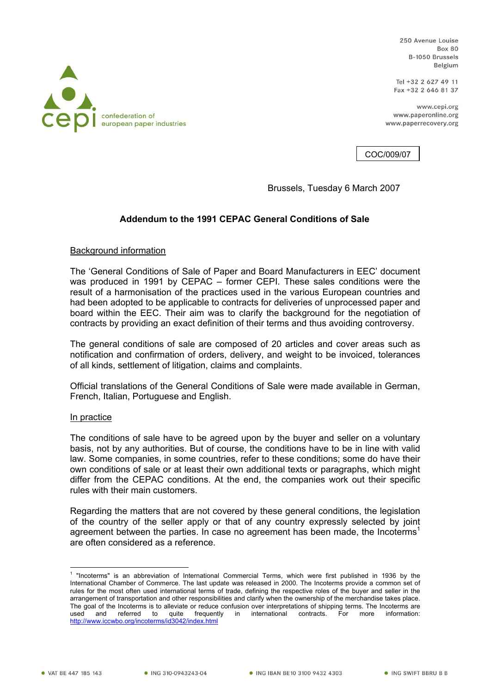250 Avenue Louise **Box 80** B-1050 Brussels Belgium

Tel +32 2 627 49 11 Fax +32 2 646 81 37

www.cepi.org www.paperonline.org www.paperrecoverv.org

COC/009/07

Brussels, Tuesday 6 March 2007

## **Addendum to the 1991 CEPAC General Conditions of Sale**

## Background information

The 'General Conditions of Sale of Paper and Board Manufacturers in EEC' document was produced in 1991 by CEPAC – former CEPI. These sales conditions were the result of a harmonisation of the practices used in the various European countries and had been adopted to be applicable to contracts for deliveries of unprocessed paper and board within the EEC. Their aim was to clarify the background for the negotiation of contracts by providing an exact definition of their terms and thus avoiding controversy.

The general conditions of sale are composed of 20 articles and cover areas such as notification and confirmation of orders, delivery, and weight to be invoiced, tolerances of all kinds, settlement of litigation, claims and complaints.

Official translations of the General Conditions of Sale were made available in German, French, Italian, Portuguese and English.

## In practice

The conditions of sale have to be agreed upon by the buyer and seller on a voluntary basis, not by any authorities. But of course, the conditions have to be in line with valid law. Some companies, in some countries, refer to these conditions; some do have their own conditions of sale or at least their own additional texts or paragraphs, which might differ from the CEPAC conditions. At the end, the companies work out their specific rules with their main customers.

Regarding the matters that are not covered by these general conditions, the legislation of the country of the seller apply or that of any country expressly selected by joint agreement between the parties. In case no agreement has been made, the Incoterms<sup>1</sup> are often considered as a reference.



 1 "Incoterms" is an abbreviation of International Commercial Terms, which were first published in 1936 by the International Chamber of Commerce. The last update was released in 2000. The Incoterms provide a common set of rules for the most often used international terms of trade, defining the respective roles of the buyer and seller in the arrangement of transportation and other responsibilities and clarify when the ownership of the merchandise takes place. The goal of the Incoterms is to alleviate or reduce confusion over interpretations of shipping terms. The Incoterms are used and referred to quite frequently in international contracts. For more information: http://www.iccwbo.org/incoterms/id3042/index.html